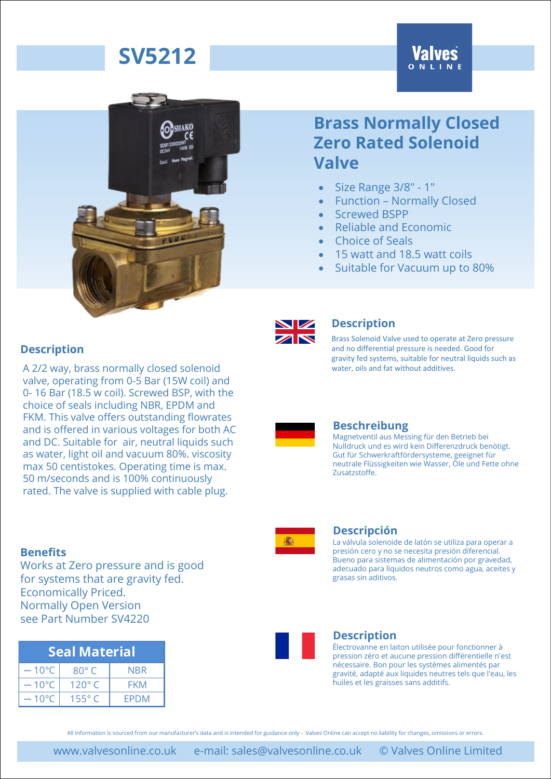# **SV5212**

# **Valves**



## **Brass Normally Closed Zero Rated Solenoid Valve**

- Size Range 3/8" 1"
- Function Normally Closed
- Screwed BSPP
- Reliable and Economic
- Choice of Seals
- 15 watt and 18.5 watt coils
- Suitable for Vacuum up to 80%

#### **Description**

A 2/2 way, brass normally closed solenoid valve, operating from 0-5 Bar (15W coil) and 0- 16 Bar (18.5 w coil). Screwed BSP, with the choice of seals including NBR, EPDM and FKM. This valve offers outstanding flowrates and is offered in various voltages for both AC and DC. Suitable for air, neutral liquids such as water, light oil and vacuum 80%. viscosity max 50 centistokes. Operating time is max. 50 m/seconds and is 100% continuously rated. The valve is supplied with cable plug.

#### **Benefits**

Works at Zero pressure and is good for systems that are gravity fed. Economically Priced. Normally Open Version see Part Number SV4220

| Seal Material   |                 |            |  |  |  |
|-----------------|-----------------|------------|--|--|--|
| $-10^{\circ}$ C | $80^\circ C$    | <b>NBR</b> |  |  |  |
| $-10^{\circ}$ C | 120 $\degree$ C | FKM        |  |  |  |
| $-10^{\circ}$ C | $155^\circ$     | FPDM       |  |  |  |



#### **Description**

Brass Solenoid Valve used to operate at Zero pressure and no differential pressure is needed. Good for gravity fed systems, suitable for neutral liquids such as water, oils and fat without additives.



#### **Beschreibung**

Magnetventil aus Messing für den Betrieb bei Nulldruck und es wird kein Differenzdruck benötigt. Gut für Schwerkraftfördersysteme, geeignet für neutrale Flüssigkeiten wie Wasser, Öle und Fette ohne Zusatzstoffe.



#### **Descripción**

La válvula solenoide de latón se utiliza para operar a presión cero y no se necesita presión diferencial. Bueno para sistemas de alimentación por gravedad, adecuado para líquidos neutros como agua, aceites y grasas sin aditivos.



#### **Description**

Électrovanne en laiton utilisée pour fonctionner à pression zéro et aucune pression différentielle n'est nécessaire. Bon pour les systèmes alimentés par gravité, adapté aux liquides neutres tels que l'eau, les huiles et les graisses sans additifs.

All information is sourced from our manufacturer's data and is intended for guidance only - Valves Online can accept no liability for changes, omissions or errors.